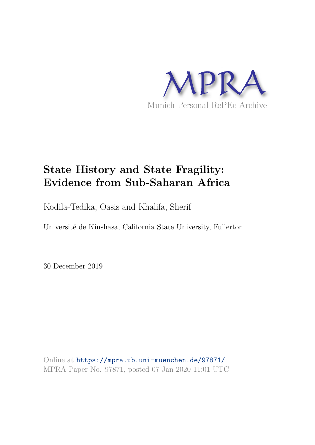

## **State History and State Fragility: Evidence from Sub-Saharan Africa**

Kodila-Tedika, Oasis and Khalifa, Sherif

Université de Kinshasa, California State University, Fullerton

30 December 2019

Online at https://mpra.ub.uni-muenchen.de/97871/ MPRA Paper No. 97871, posted 07 Jan 2020 11:01 UTC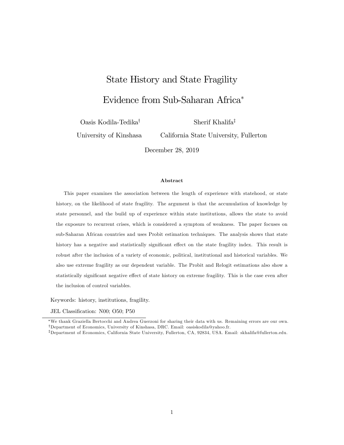# State History and State Fragility

## Evidence from Sub-Saharan Africa

Oasis Kodila-Tedika<sup>†</sup>

Sherif Khalifa<sup>‡</sup>

University of Kinshasa

California State University, Fullerton

December 28, 2019

#### Abstract

This paper examines the association between the length of experience with statehood, or state history, on the likelihood of state fragility. The argument is that the accumulation of knowledge by state personnel, and the build up of experience within state institutions, allows the state to avoid the exposure to recurrent crises, which is considered a symptom of weakness. The paper focuses on sub-Saharan African countries and uses Probit estimation techniques. The analysis shows that state history has a negative and statistically significant effect on the state fragility index. This result is robust after the inclusion of a variety of economic, political, institutional and historical variables. We also use extreme fragility as our dependent variable. The Probit and Relogit estimations also show a statistically significant negative effect of state history on extreme fragility. This is the case even after the inclusion of control variables.

Keywords: history, institutions, fragility.

JEL Classification: N00; O50; P50

We thank Graziella Bertocchi and Andrea Guerzoni for sharing their data with us. Remaining errors are our own. <sup>y</sup>Department of Economics, University of Kinshasa, DRC. Email: oasiskodila@yahoo.fr.

<sup>z</sup>Department of Economics, California State University, Fullerton, CA, 92834, USA. Email: skhalifa@fullerton.edu.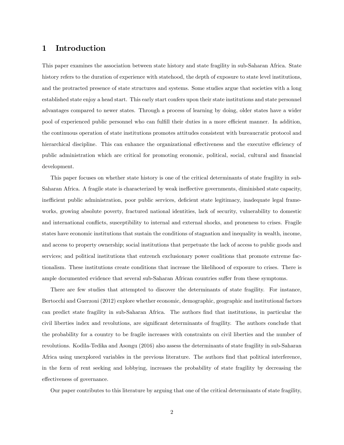#### 1 Introduction

This paper examines the association between state history and state fragility in sub-Saharan Africa. State history refers to the duration of experience with statehood, the depth of exposure to state level institutions, and the protracted presence of state structures and systems. Some studies argue that societies with a long established state enjoy a head start. This early start confers upon their state institutions and state personnel advantages compared to newer states. Through a process of learning by doing, older states have a wider pool of experienced public personnel who can fulfill their duties in a more efficient manner. In addition, the continuous operation of state institutions promotes attitudes consistent with bureaucratic protocol and hierarchical discipline. This can enhance the organizational effectiveness and the executive efficiency of public administration which are critical for promoting economic, political, social, cultural and Önancial development.

This paper focuses on whether state history is one of the critical determinants of state fragility in sub-Saharan Africa. A fragile state is characterized by weak ineffective governments, diminished state capacity, inefficient public administration, poor public services, deficient state legitimacy, inadequate legal frameworks, growing absolute poverty, fractured national identities, lack of security, vulnerability to domestic and international conflicts, susceptibility to internal and external shocks, and proneness to crises. Fragile states have economic institutions that sustain the conditions of stagnation and inequality in wealth, income, and access to property ownership; social institutions that perpetuate the lack of access to public goods and services; and political institutions that entrench exclusionary power coalitions that promote extreme factionalism. These institutions create conditions that increase the likelihood of exposure to crises. There is ample documented evidence that several sub-Saharan African countries suffer from these symptoms.

There are few studies that attempted to discover the determinants of state fragility. For instance, Bertocchi and Guerzoni (2012) explore whether economic, demographic, geographic and institutional factors can predict state fragility in sub-Saharan Africa. The authors Önd that institutions, in particular the civil liberties index and revolutions, are significant determinants of fragility. The authors conclude that the probability for a country to be fragile increases with constraints on civil liberties and the number of revolutions. Kodila-Tedika and Asongu (2016) also assess the determinants of state fragility in sub-Saharan Africa using unexplored variables in the previous literature. The authors find that political interference, in the form of rent seeking and lobbying, increases the probability of state fragility by decreasing the effectiveness of governance.

Our paper contributes to this literature by arguing that one of the critical determinants of state fragility,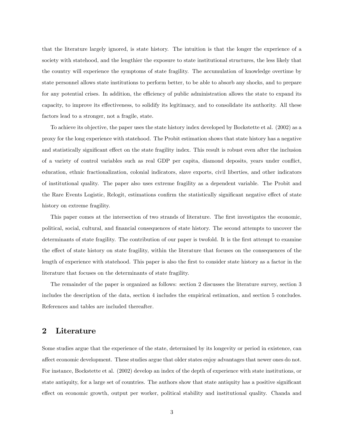that the literature largely ignored, is state history. The intuition is that the longer the experience of a society with statehood, and the lengthier the exposure to state institutional structures, the less likely that the country will experience the symptoms of state fragility. The accumulation of knowledge overtime by state personnel allows state institutions to perform better, to be able to absorb any shocks, and to prepare for any potential crises. In addition, the efficiency of public administration allows the state to expand its capacity, to improve its effectiveness, to solidify its legitimacy, and to consolidate its authority. All these factors lead to a stronger, not a fragile, state.

To achieve its objective, the paper uses the state history index developed by Bockstette et al. (2002) as a proxy for the long experience with statehood. The Probit estimation shows that state history has a negative and statistically significant effect on the state fragility index. This result is robust even after the inclusion of a variety of control variables such as real GDP per capita, diamond deposits, years under conflict, education, ethnic fractionalization, colonial indicators, slave exports, civil liberties, and other indicators of institutional quality. The paper also uses extreme fragility as a dependent variable. The Probit and the Rare Events Logistic, Relogit, estimations confirm the statistically significant negative effect of state history on extreme fragility.

This paper comes at the intersection of two strands of literature. The first investigates the economic, political, social, cultural, and Önancial consequences of state history. The second attempts to uncover the determinants of state fragility. The contribution of our paper is twofold. It is the first attempt to examine the effect of state history on state fragility, within the literature that focuses on the consequences of the length of experience with statehood. This paper is also the first to consider state history as a factor in the literature that focuses on the determinants of state fragility.

The remainder of the paper is organized as follows: section 2 discusses the literature survey, section 3 includes the description of the data, section 4 includes the empirical estimation, and section 5 concludes. References and tables are included thereafter.

#### 2 Literature

Some studies argue that the experience of the state, determined by its longevity or period in existence, can affect economic development. These studies argue that older states enjoy advantages that newer ones do not. For instance, Bockstette et al. (2002) develop an index of the depth of experience with state institutions, or state antiquity, for a large set of countries. The authors show that state antiquity has a positive significant effect on economic growth, output per worker, political stability and institutional quality. Chanda and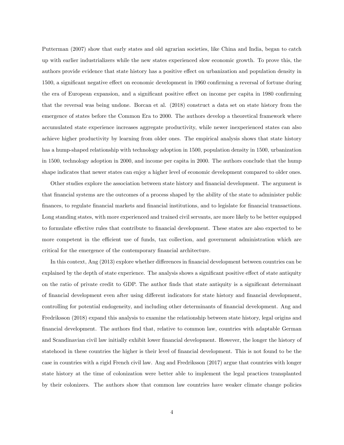Putterman (2007) show that early states and old agrarian societies, like China and India, began to catch up with earlier industrializers while the new states experienced slow economic growth. To prove this, the authors provide evidence that state history has a positive effect on urbanization and population density in 1500, a significant negative effect on economic development in 1960 confirming a reversal of fortune during the era of European expansion, and a significant positive effect on income per capita in 1980 confirming that the reversal was being undone. Borcan et al. (2018) construct a data set on state history from the emergence of states before the Common Era to 2000. The authors develop a theoretical framework where accumulated state experience increases aggregate productivity, while newer inexperienced states can also achieve higher productivity by learning from older ones. The empirical analysis shows that state history has a hump-shaped relationship with technology adoption in 1500, population density in 1500, urbanization in 1500, technology adoption in 2000, and income per capita in 2000. The authors conclude that the hump shape indicates that newer states can enjoy a higher level of economic development compared to older ones.

Other studies explore the association between state history and financial development. The argument is that Önancial systems are the outcomes of a process shaped by the ability of the state to administer public Önances, to regulate Önancial markets and Önancial institutions, and to legislate for Önancial transactions. Long standing states, with more experienced and trained civil servants, are more likely to be better equipped to formulate effective rules that contribute to financial development. These states are also expected to be more competent in the efficient use of funds, tax collection, and government administration which are critical for the emergence of the contemporary financial architecture.

In this context, Ang (2013) explore whether differences in financial development between countries can be explained by the depth of state experience. The analysis shows a significant positive effect of state antiquity on the ratio of private credit to GDP. The author finds that state antiquity is a significant determinant of financial development even after using different indicators for state history and financial development, controlling for potential endogeneity, and including other determinants of financial development. Ang and Fredriksson (2018) expand this analysis to examine the relationship between state history, legal origins and Önancial development. The authors Önd that, relative to common law, countries with adaptable German and Scandinavian civil law initially exhibit lower financial development. However, the longer the history of statehood in these countries the higher is their level of financial development. This is not found to be the case in countries with a rigid French civil law. Ang and Fredriksson (2017) argue that countries with longer state history at the time of colonization were better able to implement the legal practices transplanted by their colonizers. The authors show that common law countries have weaker climate change policies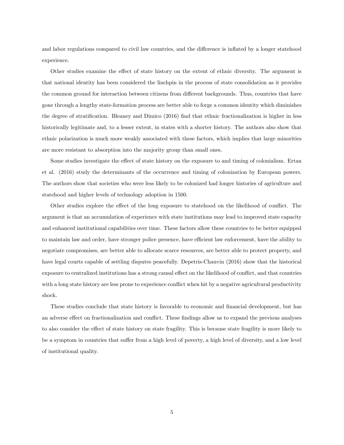and labor regulations compared to civil law countries, and the difference is inflated by a longer statehood experience.

Other studies examine the effect of state history on the extent of ethnic diversity. The argument is that national identity has been considered the linchpin in the process of state consolidation as it provides the common ground for interaction between citizens from different backgrounds. Thus, countries that have gone through a lengthy state-formation process are better able to forge a common identity which diminishes the degree of stratification. Bleaney and Dimico (2016) find that ethnic fractionalization is higher in less historically legitimate and, to a lesser extent, in states with a shorter history. The authors also show that ethnic polarization is much more weakly associated with these factors, which implies that large minorities are more resistant to absorption into the majority group than small ones.

Some studies investigate the effect of state history on the exposure to and timing of colonialism. Ertan et al. (2016) study the determinants of the occurrence and timing of colonization by European powers. The authors show that societies who were less likely to be colonized had longer histories of agriculture and statehood and higher levels of technology adoption in 1500.

Other studies explore the effect of the long exposure to statehood on the likelihood of conflict. The argument is that an accumulation of experience with state institutions may lead to improved state capacity and enhanced institutional capabilities over time. These factors allow these countries to be better equipped to maintain law and order, have stronger police presence, have efficient law enforcement, have the ability to negotiate compromises, are better able to allocate scarce resources, are better able to protect property, and have legal courts capable of settling disputes peacefully. Depetris-Chauvin (2016) show that the historical exposure to centralized institutions has a strong causal effect on the likelihood of conflict, and that countries with a long state history are less prone to experience conflict when hit by a negative agricultural productivity shock.

These studies conclude that state history is favorable to economic and financial development, but has an adverse effect on fractionalization and conflict. These findings allow us to expand the previous analyses to also consider the effect of state history on state fragility. This is because state fragility is more likely to be a symptom in countries that suffer from a high level of poverty, a high level of diversity, and a low level of institutional quality.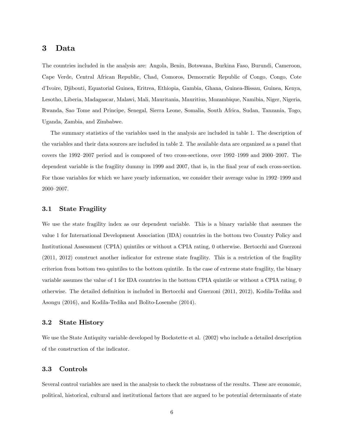#### 3 Data

The countries included in the analysis are: Angola, Benin, Botswana, Burkina Faso, Burundi, Cameroon, Cape Verde, Central African Republic, Chad, Comoros, Democratic Republic of Congo, Congo, Cote díIvoire, Djibouti, Equatorial Guinea, Eritrea, Ethiopia, Gambia, Ghana, Guinea-Bissau, Guinea, Kenya, Lesotho, Liberia, Madagascar, Malawi, Mali, Mauritania, Mauritius, Mozambique, Namibia, Niger, Nigeria, Rwanda, Sao Tome and Principe, Senegal, Sierra Leone, Somalia, South Africa, Sudan, Tanzania, Togo, Uganda, Zambia, and Zimbabwe.

The summary statistics of the variables used in the analysis are included in table 1. The description of the variables and their data sources are included in table 2. The available data are organized as a panel that covers the 1992–2007 period and is composed of two cross-sections, over 1992–1999 and 2000–2007. The dependent variable is the fragility dummy in 1999 and 2007, that is, in the final year of each cross-section. For those variables for which we have yearly information, we consider their average value in  $1992-1999$  and 2000-2007.

#### 3.1 State Fragility

We use the state fragility index as our dependent variable. This is a binary variable that assumes the value 1 for International Development Association (IDA) countries in the bottom two Country Policy and Institutional Assessment (CPIA) quintiles or without a CPIA rating, 0 otherwise. Bertocchi and Guerzoni (2011, 2012) construct another indicator for extreme state fragility. This is a restriction of the fragility criterion from bottom two quintiles to the bottom quintile. In the case of extreme state fragility, the binary variable assumes the value of 1 for IDA countries in the bottom CPIA quintile or without a CPIA rating, 0 otherwise. The detailed definition is included in Bertocchi and Guerzoni (2011, 2012), Kodila-Tedika and Asongu (2016), and Kodila-Tedika and Bolito-Losembe (2014).

#### 3.2 State History

We use the State Antiquity variable developed by Bockstette et al. (2002) who include a detailed description of the construction of the indicator.

#### 3.3 Controls

Several control variables are used in the analysis to check the robustness of the results. These are economic, political, historical, cultural and institutional factors that are argued to be potential determinants of state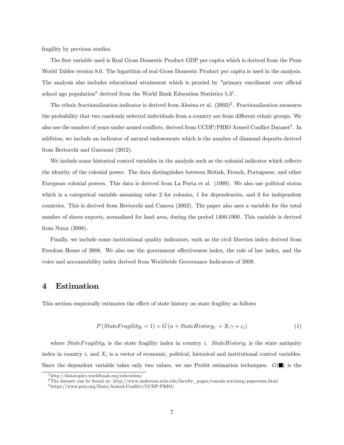fragility by previous studies.

The first variable used is Real Gross Domestic Product GDP per capita which is derived from the Penn World Tables version 8.0. The logarithm of real Gross Domestic Product per capita is used in the analysis. The analysis also includes educational attainment which is proxied by "primary enrollment over official school age population" derived from the World Bank Education Statistics  $5.3<sup>1</sup>$ .

The ethnic fractionalization indicator is derived from Alesina et al.  $(2003)^2$ . Fractionalization measures the probability that two randomly selected individuals from a country are from different ethnic groups. We also use the number of years under armed conflicts, derived from UCDP/PRIO Armed Conflict Dataset<sup>3</sup>. In addition, we include an indicator of natural endowments which is the number of diamond deposits derived from Bertocchi and Guerzoni (2012).

We include some historical control variables in the analysis such as the colonial indicator which reflects the identity of the colonial power. The data distinguishes between British, French, Portuguese, and other European colonial powers. This data is derived from La Porta et al. (1999). We also use political status which is a categorical variable assuming value 2 for colonies, 1 for dependencies, and 0 for independent countries. This is derived from Bertocchi and Canova (2002). The paper also uses a variable for the total number of slaves exports, normalized for land area, during the period 1400-1900. This variable is derived from Nunn (2008).

Finally, we include some institutional quality indicators, such as the civil liberties index derived from Freedom House of 2008. We also use the government effectiveness index, the rule of law index, and the voice and accountability index derived from Worldwide Governance Indicators of 2009.

#### 4 Estimation

This section empirically estimates the effect of state history on state fragility as follows

$$
P(StateFragility_i = 1) = G(\alpha + StateHistory_i + X_i\gamma + \varepsilon_i)
$$
\n(1)

where  $StateFragility_i$  is the state fragility index in country i.  $StateHistory_i$  is the state antiquity index in country  $i$ , and  $X_i$  is a vector of economic, political, historical and institutional control variables. Since the dependent variable takes only two values, we use Probit estimation techniques.  $G(\blacksquare)$  is the

<sup>1</sup> http://datatopics.worldbank.org/education/

<sup>2</sup> The dataset can be found at: http://www.anderson.ucla.edu/faculty\_pages/romain.wacziarg/papersum.html

 $^3\rm{https://www.prio.org/Data/Armed-Conflict/UCDP-PRIO/}$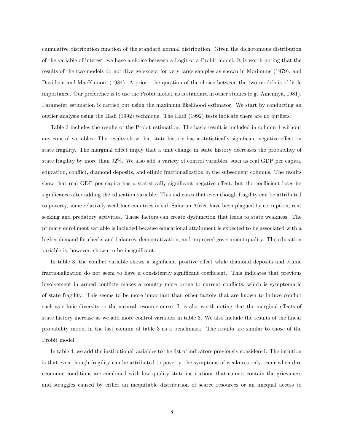cumulative distribution function of the standard normal distribution. Given the dichotomous distribution of the variable of interest, we have a choice between a Logit or a Probit model. It is worth noting that the results of the two models do not diverge except for very large samples as shown in Morimune (1979), and Davidson and MacKinnon, (1984). A priori, the question of the choice between the two models is of little importance. Our preference is to use the Probit model, as is standard in other studies (e.g. Amemiya, 1981). Parameter estimation is carried out using the maximum likelihood estimator. We start by conducting an outlier analysis using the Hadi (1992) technique. The Hadi (1992) tests indicate there are no outliers.

Table 3 includes the results of the Probit estimation. The basic result is included in column 1 without any control variables. The results show that state history has a statistically significant negative effect on state fragility. The marginal effect imply that a unit change in state history decreases the probability of state fragility by more than 92%. We also add a variety of control variables, such as real GDP per capita, education, conflict, diamond deposits, and ethnic fractionalization in the subsequent columns. The results show that real GDP per capita has a statistically significant negative effect, but the coefficient loses its significance after adding the education variable. This indicates that even though fragility can be attributed to poverty, some relatively wealthier countries in sub-Saharan Africa have been plagued by corruption, rent seeking and predatory activities. These factors can create dysfunction that leads to state weakness. The primary enrollment variable is included because educational attainment is expected to be associated with a higher demand for checks and balances, democratization, and improved government quality. The education variable is, however, shown to be insignificant.

In table 3, the conflict variable shows a significant positive effect while diamond deposits and ethnic fractionalization do not seem to have a consistently significant coefficient. This indicates that previous involvement in armed conflicts makes a country more prone to current conflicts, which is symptomatic of state fragility. This seems to be more important than other factors that are known to induce conáict such as ethnic diversity or the natural resource curse. It is also worth noting that the marginal effects of state history increase as we add more control variables in table 3. We also include the results of the linear probability model in the last column of table 3 as a benchmark. The results are similar to those of the Probit model.

In table 4, we add the institutional variables to the list of indicators previously considered. The intuition is that even though fragility can be attributed to poverty, the symptoms of weakness only occur when dire economic conditions are combined with low quality state institutions that cannot contain the grievances and struggles caused by either an inequitable distribution of scarce resources or an unequal access to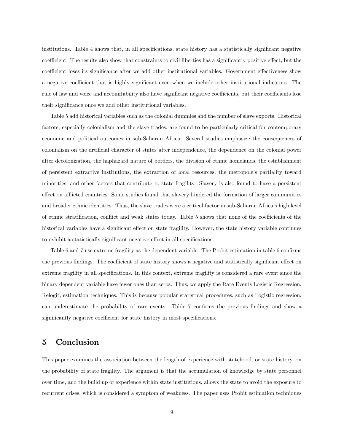institutions. Table 4 shows that, in all specifications, state history has a statistically significant negative coefficient. The results also show that constraints to civil liberties has a significantly positive effect, but the coefficient loses its significance after we add other institutional variables. Government effectiveness show a negative coefficient that is highly significant even when we include other institutional indicators. The rule of law and voice and accountability also have significant negative coefficients, but their coefficients lose their significance once we add other institutional variables.

Table 5 add historical variables such as the colonial dummies and the number of slave exports. Historical factors, especially colonialism and the slave trades, are found to be particularly critical for contemporary economic and political outcomes in sub-Saharan Africa. Several studies emphasize the consequences of colonialism on the artificial character of states after independence, the dependence on the colonial power after decolonization, the haphazard nature of borders, the division of ethnic homelands, the establishment of persistent extractive institutions, the extraction of local resources, the metropoleís partiality toward minorities, and other factors that contribute to state fragility. Slavery is also found to have a persistent effect on afflicted countries. Some studies found that slavery hindered the formation of larger communities and broader ethnic identities. Thus, the slave trades were a critical factor in sub-Saharan Africaís high level of ethnic stratification, conflict and weak states today. Table 5 shows that none of the coefficients of the historical variables have a significant effect on state fragility. However, the state history variable continues to exhibit a statistically significant negative effect in all specifications.

Table 6 and 7 use extreme fragility as the dependent variable. The Probit estimation in table 6 confirms the previous findings. The coefficient of state history shows a negative and statistically significant effect on extreme fragility in all specifications. In this context, extreme fragility is considered a rare event since the binary dependent variable have fewer ones than zeros. Thus, we apply the Rare Events Logistic Regression, Relogit, estimation techniques. This is because popular statistical procedures, such as Logistic regression, can underestimate the probability of rare events. Table 7 confirms the previous findings and show a significantly negative coefficient for state history in most specifications.

### 5 Conclusion

This paper examines the association between the length of experience with statehood, or state history, on the probability of state fragility. The argument is that the accumulation of knowledge by state personnel over time, and the build up of experience within state institutions, allows the state to avoid the exposure to recurrent crises, which is considered a symptom of weakness. The paper uses Probit estimation techniques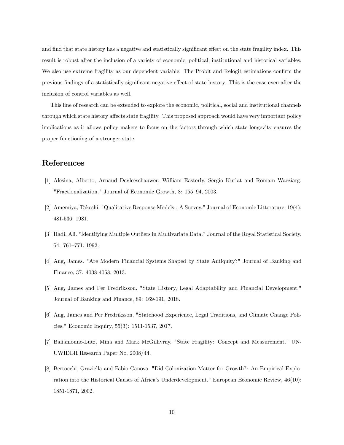and find that state history has a negative and statistically significant effect on the state fragility index. This result is robust after the inclusion of a variety of economic, political, institutional and historical variables. We also use extreme fragility as our dependent variable. The Probit and Relogit estimations confirm the previous findings of a statistically significant negative effect of state history. This is the case even after the inclusion of control variables as well.

This line of research can be extended to explore the economic, political, social and institutional channels through which state history affects state fragility. This proposed approach would have very important policy implications as it allows policy makers to focus on the factors through which state longevity ensures the proper functioning of a stronger state.

## References

- [1] Alesina, Alberto, Arnaud Devleeschauwer, William Easterly, Sergio Kurlat and Romain Wacziarg. "Fractionalization." Journal of Economic Growth, 8: 155-94, 2003.
- [2] Amemiya, Takeshi. "Qualitative Response Models : A Survey." Journal of Economic Litterature, 19(4): 481-536, 1981.
- [3] Hadi, Ali. "Identifying Multiple Outliers in Multivariate Data." Journal of the Royal Statistical Society, 54: 761-771, 1992.
- [4] Ang, James. "Are Modern Financial Systems Shaped by State Antiquity?" Journal of Banking and Finance, 37: 4038-4058, 2013.
- [5] Ang, James and Per Fredriksson. "State History, Legal Adaptability and Financial Development." Journal of Banking and Finance, 89: 169-191, 2018.
- [6] Ang, James and Per Fredriksson. "Statehood Experience, Legal Traditions, and Climate Change Policies." Economic Inquiry, 55(3): 1511-1537, 2017.
- [7] Baliamoune-Lutz, Mina and Mark McGillivray. "State Fragility: Concept and Measurement." UN-UWIDER Research Paper No. 2008/44.
- [8] Bertocchi, Graziella and Fabio Canova. "Did Colonization Matter for Growth?: An Empirical Exploration into the Historical Causes of Africaís Underdevelopment." European Economic Review, 46(10): 1851-1871, 2002.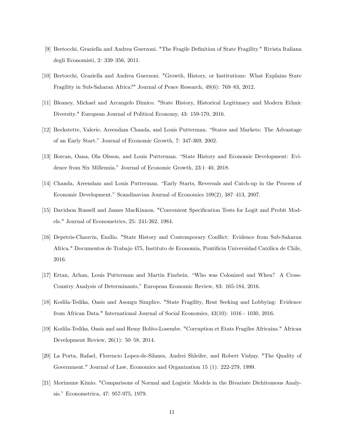- [9] Bertocchi, Graziella and Andrea Guerzoni. "The Fragile Definition of State Fragility." Rivista Italiana degli Economisti, 2: 339–356, 2011.
- [10] Bertocchi, Graziella and Andrea Guerzoni. "Growth, History, or Institutions: What Explains State Fragility in Sub-Saharan Africa?" Journal of Peace Research,  $49(6)$ : 769–83, 2012.
- [11] Bleaney, Michael and Arcangelo Dimico. "State History, Historical Legitimacy and Modern Ethnic Diversity." European Journal of Political Economy, 43: 159-170, 2016.
- [12] Bockstette, Valerie, Areendam Chanda, and Louis Putterman. "States and Markets: The Advantage of an Early Start.î Journal of Economic Growth, 7: 347-369, 2002.
- [13] Borcan, Oana, Ola Olsson, and Louis Putterman. "State History and Economic Development: Evidence from Six Millennia." Journal of Economic Growth, 23:1-40, 2018.
- [14] Chanda, Areendam and Louis Putterman. "Early Starts, Reversals and Catch-up in the Process of Economic Development." Scandinavian Journal of Economics 109(2), 387-413, 2007.
- [15] Davidson Russell and James MacKinnon. "Convenient Specification Tests for Logit and Probit Models." Journal of Econometrics, 25: 241-262, 1984.
- [16] Depetris-Chauvin, Emilio. "State History and Contemporary Conáict: Evidence from Sub-Saharan Africa." Documentos de Trabajo 475, Instituto de Economia, Pontificia Universidad Católica de Chile, 2016.
- [17] Ertan, Arhan, Louis Putterman and Martin Fiszbein. "Who was Colonized and When? A Cross-Country Analysis of Determinants,î European Economic Review, 83: 165-184, 2016.
- [18] Kodila-Tedika, Oasis and Asongu Simplice. "State Fragility, Rent Seeking and Lobbying: Evidence from African Data." International Journal of Social Economics, 43(10): 1016 - 1030, 2016.
- [19] Kodila-Tedika, Oasis and and Remy Bolito-Losembe. "Corruption et Etats Fragiles Africains." African Development Review,  $26(1)$ : 50–58, 2014.
- [20] La Porta, Rafael, Florencio Lopez-de-Silanes, Andrei Shleifer, and Robert Vishny. "The Quality of Government." Journal of Law, Economics and Organization 15 (1): 222-279, 1999.
- [21] Morimune Kimio. "Comparisons of Normal and Logistic Models in the Bivariate Dichitomous Analysis." Econometrica, 47: 957-975, 1979.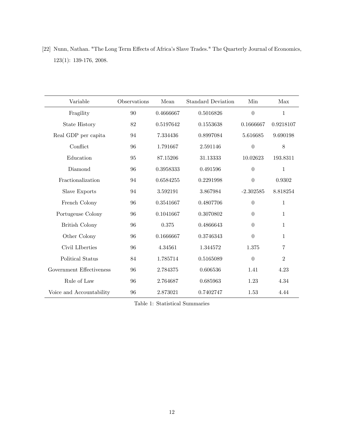|                          |  |  | [22] Nunn, Nathan. "The Long Term Effects of Africa's Slave Trades." The Quarterly Journal of Economics, |  |
|--------------------------|--|--|----------------------------------------------------------------------------------------------------------|--|
| $123(1): 139-176, 2008.$ |  |  |                                                                                                          |  |

| Variable                 | Observations | Mean      | <b>Standard Deviation</b> | Min              | Max            |
|--------------------------|--------------|-----------|---------------------------|------------------|----------------|
| Fragility                | 90           | 0.4666667 | 0.5016826                 | $\overline{0}$   | $\mathbf{1}$   |
| <b>State History</b>     | 82           | 0.5197642 | 0.1553638                 | 0.1666667        | 0.9218107      |
| Real GDP per capita      | 94           | 7.334436  | 0.8997084                 | 5.616685         | 9.690198       |
| Conflict                 | 96           | 1.791667  | 2.591146                  | $\boldsymbol{0}$ | 8              |
| Education                | 95           | 87.15206  | 31.13333                  | 10.02623         | 193.8311       |
| Diamond                  | 96           | 0.3958333 | 0.491596                  | $\theta$         | $\mathbf{1}$   |
| Fractionalization        | 94           | 0.6584255 | 0.2291998                 | $\theta$         | 0.9302         |
| Slave Exports            | 94           | 3.592191  | 3.867984                  | $-2.302585$      | 8.818254       |
| French Colony            | 96           | 0.3541667 | 0.4807706                 | $\theta$         | $\mathbf{1}$   |
| Portugeuse Colony        | 96           | 0.1041667 | 0.3070802                 | $\theta$         | $\mathbf{1}$   |
| <b>British Colony</b>    | 96           | 0.375     | 0.4866643                 | $\theta$         | $\mathbf{1}$   |
| Other Colony             | 96           | 0.1666667 | 0.3746343                 | $\Omega$         | $\mathbf{1}$   |
| Civil LIberties          | 96           | 4.34561   | 1.344572                  | 1.375            | 7              |
| Political Status         | 84           | 1.785714  | 0.5165089                 | $\theta$         | $\overline{2}$ |
| Government Effectiveness | 96           | 2.784375  | 0.606536                  | 1.41             | 4.23           |
| Rule of Law              | 96           | 2.764687  | 0.685963                  | 1.23             | 4.34           |
| Voice and Accountability | 96           | 2.873021  | 0.7402747                 | 1.53             | 4.44           |

Table 1: Statistical Summaries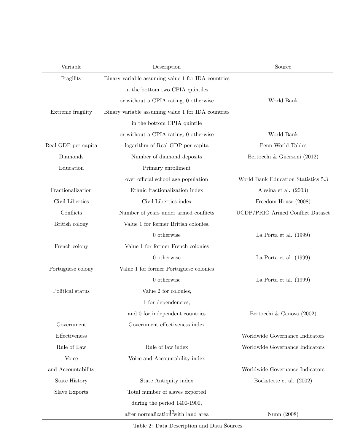| Variable            | Description                                        | Source                              |
|---------------------|----------------------------------------------------|-------------------------------------|
| Fragility           | Binary variable assuming value 1 for IDA countries |                                     |
|                     | in the bottom two CPIA quintiles                   |                                     |
|                     | or without a CPIA rating, 0 otherwise              | World Bank                          |
| Extreme fragility   | Binary variable assuming value 1 for IDA countries |                                     |
|                     | in the bottom CPIA quintile                        |                                     |
|                     | or without a CPIA rating, 0 otherwise              | World Bank                          |
| Real GDP per capita | logarithm of Real GDP per capita                   | Penn World Tables                   |
| Diamonds            | Number of diamond deposits                         | Bertocchi & Guerzoni (2012)         |
| Education           | Primary enrollment                                 |                                     |
|                     | over official school age population                | World Bank Education Statistics 5.3 |
| Fractionalization   | Ethnic fractionalization index                     | Alesina et al. $(2003)$             |
| Civil Liberties     | Civil Liberties index                              | Freedom House (2008)                |
| Conflicts           | Number of years under armed conflicts              | UCDP/PRIO Armed Conflict Dataset    |
| British colony      | Value 1 for former British colonies,               |                                     |
|                     | $0$ otherwise                                      | La Porta et al. $(1999)$            |
| French colony       | Value 1 for former French colonies                 |                                     |
|                     | $0$ otherwise                                      | La Porta et al. $(1999)$            |
| Portuguese colony   | Value 1 for former Portuguese colonies             |                                     |
|                     | $0$ otherwise                                      | La Porta et al. $(1999)$            |
| Political status    | Value 2 for colonies,                              |                                     |
|                     | 1 for dependencies,                                |                                     |
|                     | and 0 for independent countries                    | Bertocchi & Canova (2002)           |
| Government          | Government effectiveness index                     |                                     |
| Effectiveness       |                                                    | Worldwide Governance Indicators     |
| Rule of Law         | Rule of law index                                  | Worldwide Governance Indicators     |
| Voice               | Voice and Accountability index                     |                                     |
| and Accountability  |                                                    | Worldwide Governance Indicators     |
| State History       | State Antiquity index                              | Bockstette et al. (2002)            |
| Slave Exports       | Total number of slaves exported                    |                                     |
|                     | during the period 1400-1900,                       |                                     |
|                     | after normalization <sup>13</sup> with land area   | Nunn (2008)                         |

Table 2: Data Description and Data Sources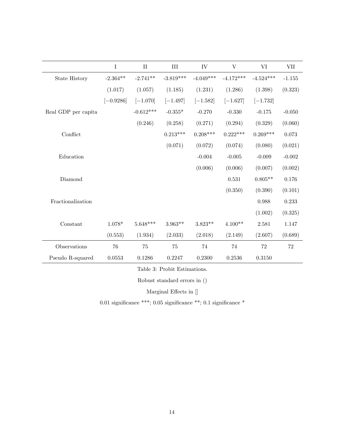|                     | I           | $\rm II$    | $\rm III$   | IV          | V           | VI          | <b>VII</b> |
|---------------------|-------------|-------------|-------------|-------------|-------------|-------------|------------|
| State History       | $-2.364**$  | $-2.741**$  | $-3.819***$ | $-4.049***$ | $-4.172***$ | $-4.524***$ | $-1.155$   |
|                     | (1.017)     | (1.057)     | (1.185)     | (1.231)     | (1.286)     | (1.398)     | (0.323)    |
|                     | $[-0.9286]$ | $[-1.070]$  | $[-1.497]$  | $[-1.582]$  | $[-1.627]$  | $[-1.732]$  |            |
| Real GDP per capita |             | $-0.612***$ | $-0.355*$   | $-0.270$    | $-0.330$    | $-0.175$    | $-0.050$   |
|                     |             | (0.246)     | (0.258)     | (0.271)     | (0.294)     | (0.329)     | (0.060)    |
| Conflict            |             |             | $0.213***$  | $0.208***$  | $0.222***$  | $0.269***$  | 0.073      |
|                     |             |             | (0.071)     | (0.072)     | (0.074)     | (0.080)     | (0.021)    |
| Education           |             |             |             | $-0.004$    | $-0.005$    | $-0.009$    | $-0.002$   |
|                     |             |             |             | (0.006)     | (0.006)     | (0.007)     | (0.002)    |
| Diamond             |             |             |             |             | 0.531       | $0.805**$   | 0.176      |
|                     |             |             |             |             | (0.350)     | (0.390)     | (0.101)    |
| Fractionalization   |             |             |             |             |             | 0.988       | 0.233      |
|                     |             |             |             |             |             | (1.002)     | (0.325)    |
| Constant            | $1.078*$    | $5.648***$  | $3.963**$   | $3.823**$   | $4.100**$   | 2.581       | 1.147      |
|                     | (0.553)     | (1.934)     | (2.033)     | (2.018)     | (2.149)     | (2.607)     | (0.689)    |
| Observations        | 76          | 75          | 75          | 74          | 74          | 72          | 72         |
| Pseudo R-squared    | 0.0553      | 0.1286      | 0.2247      | 0.2300      | 0.2536      | 0.3150      |            |

Table 3: Probit Estimations.

Robust standard errors in ()

Marginal Effects in  $[]$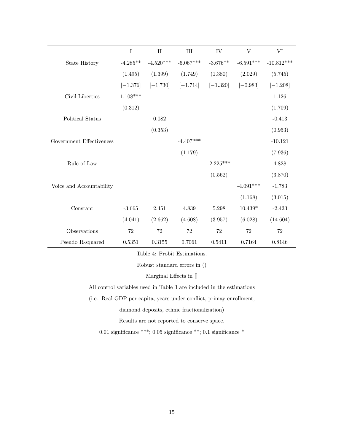|                          | $\rm I$    | $\rm II$    | III         | IV          | V           | VI           |
|--------------------------|------------|-------------|-------------|-------------|-------------|--------------|
| <b>State History</b>     | $-4.285**$ | $-4.520***$ | $-5.067***$ | $-3.676**$  | $-6.591***$ | $-10.812***$ |
|                          | (1.495)    | (1.399)     | (1.749)     | (1.380)     | (2.029)     | (5.745)      |
|                          | $[-1.376]$ | $[-1.730]$  | $[-1.714]$  | $[-1.320]$  | $[-0.983]$  | $[-1.208]$   |
| Civil Liberties          | $1.108***$ |             |             |             |             | 1.126        |
|                          | (0.312)    |             |             |             |             | (1.709)      |
| Political Status         |            | 0.082       |             |             |             | $-0.413$     |
|                          |            | (0.353)     |             |             |             | (0.953)      |
| Government Effectiveness |            |             | $-4.407***$ |             |             | $-10.121$    |
|                          |            |             | (1.179)     |             |             | (7.936)      |
| Rule of Law              |            |             |             | $-2.225***$ |             | 4.828        |
|                          |            |             |             | (0.562)     |             | (3.870)      |
| Voice and Accountability |            |             |             |             | $-4.091***$ | $-1.783$     |
|                          |            |             |             |             | (1.168)     | (3.015)      |
| Constant                 | $-3.665$   | 2.451       | 4.839       | 5.298       | $10.439*$   | $-2.423$     |
|                          | (4.041)    | (2.662)     | (4.608)     | (3.957)     | (6.028)     | (14.604)     |
| Observations             | 72         | 72          | 72          | 72          | $72\,$      | 72           |
| Pseudo R-squared         | 0.5351     | 0.3155      | 0.7061      | 0.5411      | 0.7164      | 0.8146       |

Table 4: Probit Estimations.

Robust standard errors in ()

Marginal Effects in  $[]$ 

All control variables used in Table 3 are included in the estimations

(i.e., Real GDP per capita, years under conflict, primay enrollment,

diamond deposits, ethnic fractionalization)

Results are not reported to conserve space.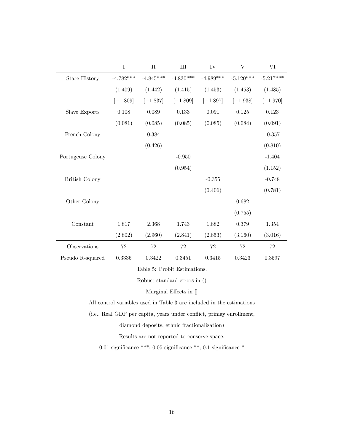|                       | $\rm I$     | $\rm II$    | III         | IV          | V           | VI          |
|-----------------------|-------------|-------------|-------------|-------------|-------------|-------------|
| <b>State History</b>  | $-4.782***$ | $-4.845***$ | $-4.830***$ | $-4.989***$ | $-5.120***$ | $-5.217***$ |
|                       | (1.409)     | (1.442)     | (1.415)     | (1.453)     | (1.453)     | (1.485)     |
|                       | $[-1.809]$  | $[-1.837]$  | $[-1.809]$  | $[-1.897]$  | $[-1.938]$  | $[-1.970]$  |
| Slave Exports         | 0.108       | 0.089       | 0.133       | 0.091       | 0.125       | 0.123       |
|                       | (0.081)     | (0.085)     | (0.085)     | (0.085)     | (0.084)     | (0.091)     |
| French Colony         |             | 0.384       |             |             |             | $-0.357$    |
|                       |             | (0.426)     |             |             |             | (0.810)     |
| Portugeuse Colony     |             |             | $-0.950$    |             |             | $-1.404$    |
|                       |             |             | (0.954)     |             |             | (1.152)     |
| <b>British Colony</b> |             |             |             | $-0.355$    |             | $-0.748$    |
|                       |             |             |             | (0.406)     |             | (0.781)     |
| Other Colony          |             |             |             |             | 0.682       |             |
|                       |             |             |             |             | (0.755)     |             |
| Constant              | 1.817       | 2.368       | 1.743       | 1.882       | 0.379       | 1.354       |
|                       | (2.802)     | (2.960)     | (2.841)     | (2.853)     | (3.160)     | (3.016)     |
| Observations          | $72\,$      | $72\,$      | 72          | $72\,$      | 72          | 72          |
| Pseudo R-squared      | 0.3336      | 0.3422      | 0.3451      | 0.3415      | 0.3423      | 0.3597      |

Table 5: Probit Estimations.

Robust standard errors in ()

Marginal Effects in  $[]$ 

All control variables used in Table 3 are included in the estimations

(i.e., Real GDP per capita, years under conflict, primay enrollment,

diamond deposits, ethnic fractionalization)

Results are not reported to conserve space.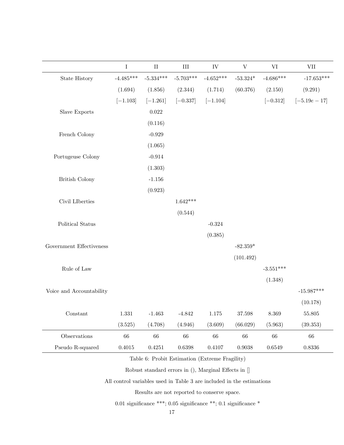|                          | $\bf I$     | $\rm II$    | $\rm III$   | ${\rm IV}$  | $\ensuremath{\mathbf{V}}$ | VI          | <b>VII</b>      |
|--------------------------|-------------|-------------|-------------|-------------|---------------------------|-------------|-----------------|
| State History            | $-4.485***$ | $-5.334***$ | $-5.703***$ | $-4.652***$ | $-53.324*$                | $-4.686***$ | $-17.653***$    |
|                          | (1.694)     | (1.856)     | (2.344)     | (1.714)     | (60.376)                  | (2.150)     | (9.291)         |
|                          | $[-1.103]$  | $[-1.261]$  | $[-0.337]$  | $[-1.104]$  |                           | $[-0.312]$  | $[-5.19e - 17]$ |
| Slave Exports            |             | 0.022       |             |             |                           |             |                 |
|                          |             | (0.116)     |             |             |                           |             |                 |
| French Colony            |             | $-0.929$    |             |             |                           |             |                 |
|                          |             | (1.065)     |             |             |                           |             |                 |
| Portugeuse Colony        |             | $-0.914$    |             |             |                           |             |                 |
|                          |             | (1.303)     |             |             |                           |             |                 |
| <b>British Colony</b>    |             | $-1.156$    |             |             |                           |             |                 |
|                          |             | (0.923)     |             |             |                           |             |                 |
| Civil LIberties          |             |             | $1.642***$  |             |                           |             |                 |
|                          |             |             | (0.544)     |             |                           |             |                 |
| Political Status         |             |             |             | $-0.324$    |                           |             |                 |
|                          |             |             |             | (0.385)     |                           |             |                 |
| Government Effectiveness |             |             |             |             | $-82.359*$                |             |                 |
|                          |             |             |             |             | (101.492)                 |             |                 |
| Rule of Law              |             |             |             |             |                           | $-3.551***$ |                 |
|                          |             |             |             |             |                           | (1.348)     |                 |
| Voice and Accountability |             |             |             |             |                           |             | $-15.987***$    |
|                          |             |             |             |             |                           |             | (10.178)        |
| Constant                 | 1.331       | $-1.463$    | $-4.842$    | $1.175\,$   | 37.598                    | 8.369       | $55.805\,$      |
|                          | (3.525)     | (4.708)     | (4.946)     | (3.609)     | (66.029)                  | (5.963)     | (39.353)        |
| Observations             | 66          | $66\,$      | 66          | 66          | $66\,$                    | $66\,$      | $66\,$          |
| Pseudo R-squared         | 0.4015      | 0.4251      | 0.6398      | 0.4107      | $\,0.9038\,$              | 0.6549      | 0.8336          |

Table 6: Probit Estimation (Extreme Fragility)

Robust standard errors in (), Marginal Effects in []

All control variables used in Table 3 are included in the estimations

Results are not reported to conserve space.